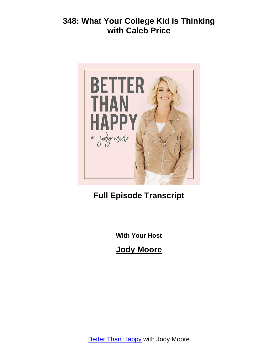

**Full Episode Transcript**

**With Your Host**

**Jody Moore**

**Better Than [Happy](https://jodymoore.com/podcast/) with Jody Moore**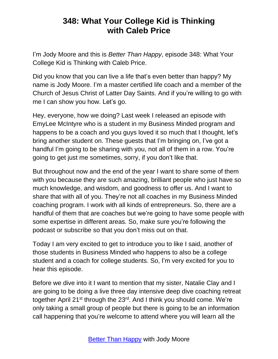I'm Jody Moore and this is *Better Than Happy*, episode 348: What Your College Kid is Thinking with Caleb Price.

Did you know that you can live a life that's even better than happy? My name is Jody Moore. I'm a master certified life coach and a member of the Church of Jesus Christ of Latter Day Saints. And if you're willing to go with me I can show you how. Let's go.

Hey, everyone, how we doing? Last week I released an episode with EmyLee McIntyre who is a student in my Business Minded program and happens to be a coach and you guys loved it so much that I thought, let's bring another student on. These guests that I'm bringing on, I've got a handful I'm going to be sharing with you, not all of them in a row. You're going to get just me sometimes, sorry, if you don't like that.

But throughout now and the end of the year I want to share some of them with you because they are such amazing, brilliant people who just have so much knowledge, and wisdom, and goodness to offer us. And I want to share that with all of you. They're not all coaches in my Business Minded coaching program. I work with all kinds of entrepreneurs. So, there are a handful of them that are coaches but we're going to have some people with some expertise in different areas. So, make sure you're following the podcast or subscribe so that you don't miss out on that.

Today I am very excited to get to introduce you to like I said, another of those students in Business Minded who happens to also be a college student and a coach for college students. So, I'm very excited for you to hear this episode.

Before we dive into it I want to mention that my sister, Natalie Clay and I are going to be doing a live three day intensive deep dive coaching retreat together April 21<sup>st</sup> through the 23<sup>rd</sup>. And I think you should come. We're only taking a small group of people but there is going to be an information call happening that you're welcome to attend where you will learn all the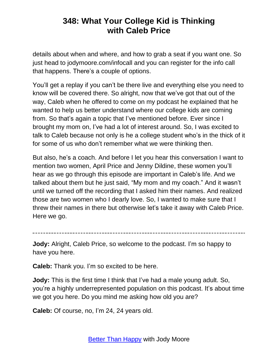details about when and where, and how to grab a seat if you want one. So just head to jodymoore.com/infocall and you can register for the info call that happens. There's a couple of options.

You'll get a replay if you can't be there live and everything else you need to know will be covered there. So alright, now that we've got that out of the way, Caleb when he offered to come on my podcast he explained that he wanted to help us better understand where our college kids are coming from. So that's again a topic that I've mentioned before. Ever since I brought my mom on, I've had a lot of interest around. So, I was excited to talk to Caleb because not only is he a college student who's in the thick of it for some of us who don't remember what we were thinking then.

But also, he's a coach. And before I let you hear this conversation I want to mention two women, April Price and Jenny Dildine, these women you'll hear as we go through this episode are important in Caleb's life. And we talked about them but he just said, "My mom and my coach." And it wasn't until we turned off the recording that I asked him their names. And realized those are two women who I dearly love. So, I wanted to make sure that I threw their names in there but otherwise let's take it away with Caleb Price. Here we go.

**Jody:** Alright, Caleb Price, so welcome to the podcast. I'm so happy to have you here.

**Caleb:** Thank you. I'm so excited to be here.

**Jody:** This is the first time I think that I've had a male young adult. So, you're a highly underrepresented population on this podcast. It's about time we got you here. Do you mind me asking how old you are?

**Caleb:** Of course, no, I'm 24, 24 years old.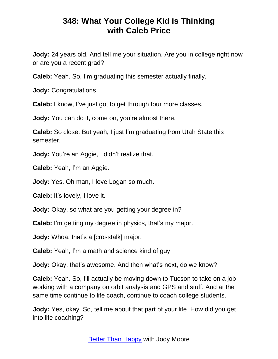**Jody:** 24 years old. And tell me your situation. Are you in college right now or are you a recent grad?

**Caleb:** Yeah. So, I'm graduating this semester actually finally.

**Jody:** Congratulations.

**Caleb:** I know, I've just got to get through four more classes.

**Jody:** You can do it, come on, you're almost there.

**Caleb:** So close. But yeah, I just I'm graduating from Utah State this semester.

**Jody:** You're an Aggie, I didn't realize that.

**Caleb:** Yeah, I'm an Aggie.

**Jody:** Yes. Oh man, I love Logan so much.

**Caleb:** It's lovely, I love it.

**Jody:** Okay, so what are you getting your degree in?

**Caleb:** I'm getting my degree in physics, that's my major.

**Jody:** Whoa, that's a [crosstalk] major.

**Caleb:** Yeah, I'm a math and science kind of guy.

**Jody:** Okay, that's awesome. And then what's next, do we know?

**Caleb:** Yeah. So, I'll actually be moving down to Tucson to take on a job working with a company on orbit analysis and GPS and stuff. And at the same time continue to life coach, continue to coach college students.

**Jody:** Yes, okay. So, tell me about that part of your life. How did you get into life coaching?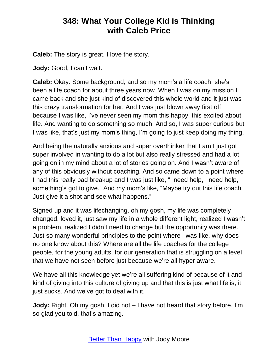**Caleb:** The story is great. I love the story.

**Jody:** Good, I can't wait.

**Caleb:** Okay. Some background, and so my mom's a life coach, she's been a life coach for about three years now. When I was on my mission I came back and she just kind of discovered this whole world and it just was this crazy transformation for her. And I was just blown away first off because I was like, I've never seen my mom this happy, this excited about life. And wanting to do something so much. And so, I was super curious but I was like, that's just my mom's thing, I'm going to just keep doing my thing.

And being the naturally anxious and super overthinker that I am I just got super involved in wanting to do a lot but also really stressed and had a lot going on in my mind about a lot of stories going on. And I wasn't aware of any of this obviously without coaching. And so came down to a point where I had this really bad breakup and I was just like, "I need help, I need help, something's got to give." And my mom's like, "Maybe try out this life coach. Just give it a shot and see what happens."

Signed up and it was lifechanging, oh my gosh, my life was completely changed, loved it, just saw my life in a whole different light, realized I wasn't a problem, realized I didn't need to change but the opportunity was there. Just so many wonderful principles to the point where I was like, why does no one know about this? Where are all the life coaches for the college people, for the young adults, for our generation that is struggling on a level that we have not seen before just because we're all hyper aware.

We have all this knowledge yet we're all suffering kind of because of it and kind of giving into this culture of giving up and that this is just what life is, it just sucks. And we've got to deal with it.

**Jody:** Right. Oh my gosh, I did not – I have not heard that story before. I'm so glad you told, that's amazing.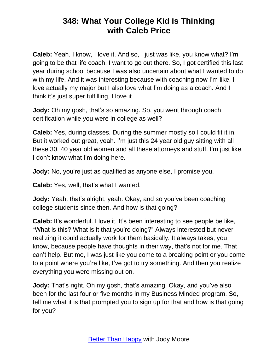**Caleb:** Yeah. I know, I love it. And so, I just was like, you know what? I'm going to be that life coach, I want to go out there. So, I got certified this last year during school because I was also uncertain about what I wanted to do with my life. And it was interesting because with coaching now I'm like, I love actually my major but I also love what I'm doing as a coach. And I think it's just super fulfilling, I love it.

**Jody:** Oh my gosh, that's so amazing. So, you went through coach certification while you were in college as well?

**Caleb:** Yes, during classes. During the summer mostly so I could fit it in. But it worked out great, yeah. I'm just this 24 year old guy sitting with all these 30, 40 year old women and all these attorneys and stuff. I'm just like, I don't know what I'm doing here.

**Jody:** No, you're just as qualified as anyone else, I promise you.

**Caleb:** Yes, well, that's what I wanted.

**Jody:** Yeah, that's alright, yeah. Okay, and so you've been coaching college students since then. And how is that going?

**Caleb:** It's wonderful. I love it. It's been interesting to see people be like, "What is this? What is it that you're doing?" Always interested but never realizing it could actually work for them basically. It always takes, you know, because people have thoughts in their way, that's not for me. That can't help. But me, I was just like you come to a breaking point or you come to a point where you're like, I've got to try something. And then you realize everything you were missing out on.

**Jody:** That's right. Oh my gosh, that's amazing. Okay, and you've also been for the last four or five months in my Business Minded program. So, tell me what it is that prompted you to sign up for that and how is that going for you?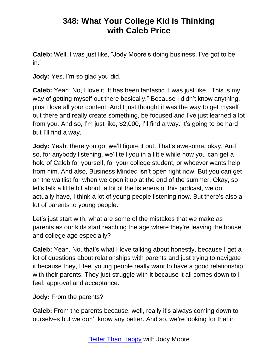**Caleb:** Well, I was just like, "Jody Moore's doing business, I've got to be in."

**Jody:** Yes, I'm so glad you did.

**Caleb:** Yeah. No, I love it. It has been fantastic. I was just like, "This is my way of getting myself out there basically." Because I didn't know anything, plus I love all your content. And I just thought it was the way to get myself out there and really create something, be focused and I've just learned a lot from you. And so, I'm just like, \$2,000, I'll find a way. It's going to be hard but I'll find a way.

**Jody:** Yeah, there you go, we'll figure it out. That's awesome, okay. And so, for anybody listening, we'll tell you in a little while how you can get a hold of Caleb for yourself, for your college student, or whoever wants help from him. And also, Business Minded isn't open right now. But you can get on the waitlist for when we open it up at the end of the summer. Okay, so let's talk a little bit about, a lot of the listeners of this podcast, we do actually have, I think a lot of young people listening now. But there's also a lot of parents to young people.

Let's just start with, what are some of the mistakes that we make as parents as our kids start reaching the age where they're leaving the house and college age especially?

**Caleb:** Yeah. No, that's what I love talking about honestly, because I get a lot of questions about relationships with parents and just trying to navigate it because they, I feel young people really want to have a good relationship with their parents. They just struggle with it because it all comes down to I feel, approval and acceptance.

**Jody:** From the parents?

**Caleb:** From the parents because, well, really it's always coming down to ourselves but we don't know any better. And so, we're looking for that in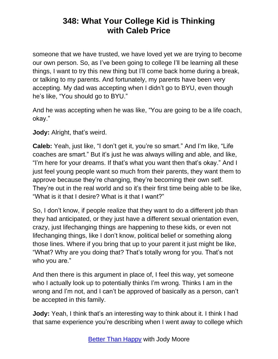someone that we have trusted, we have loved yet we are trying to become our own person. So, as I've been going to college I'll be learning all these things, I want to try this new thing but I'll come back home during a break, or talking to my parents. And fortunately, my parents have been very accepting. My dad was accepting when I didn't go to BYU, even though he's like, "You should go to BYU."

And he was accepting when he was like, "You are going to be a life coach, okay."

**Jody:** Alright, that's weird.

**Caleb:** Yeah, just like, "I don't get it, you're so smart." And I'm like, "Life coaches are smart." But it's just he was always willing and able, and like, "I'm here for your dreams. If that's what you want then that's okay." And I just feel young people want so much from their parents, they want them to approve because they're changing, they're becoming their own self. They're out in the real world and so it's their first time being able to be like, "What is it that I desire? What is it that I want?"

So, I don't know, if people realize that they want to do a different job than they had anticipated, or they just have a different sexual orientation even, crazy, just lifechanging things are happening to these kids, or even not lifechanging things, like I don't know, political belief or something along those lines. Where if you bring that up to your parent it just might be like, "What? Why are you doing that? That's totally wrong for you. That's not who you are."

And then there is this argument in place of, I feel this way, yet someone who I actually look up to potentially thinks I'm wrong. Thinks I am in the wrong and I'm not, and I can't be approved of basically as a person, can't be accepted in this family.

**Jody:** Yeah, I think that's an interesting way to think about it. I think I had that same experience you're describing when I went away to college which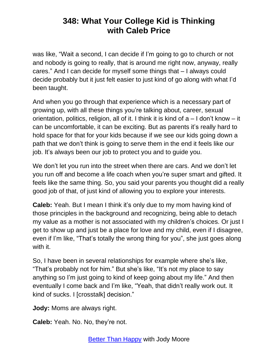was like, "Wait a second, I can decide if I'm going to go to church or not and nobody is going to really, that is around me right now, anyway, really cares." And I can decide for myself some things that – I always could decide probably but it just felt easier to just kind of go along with what I'd been taught.

And when you go through that experience which is a necessary part of growing up, with all these things you're talking about, career, sexual orientation, politics, religion, all of it. I think it is kind of a – I don't know – it can be uncomfortable, it can be exciting. But as parents it's really hard to hold space for that for your kids because if we see our kids going down a path that we don't think is going to serve them in the end it feels like our job. It's always been our job to protect you and to guide you.

We don't let you run into the street when there are cars. And we don't let you run off and become a life coach when you're super smart and gifted. It feels like the same thing. So, you said your parents you thought did a really good job of that, of just kind of allowing you to explore your interests.

**Caleb:** Yeah. But I mean I think it's only due to my mom having kind of those principles in the background and recognizing, being able to detach my value as a mother is not associated with my children's choices. Or just I get to show up and just be a place for love and my child, even if I disagree, even if I'm like, "That's totally the wrong thing for you", she just goes along with it.

So, I have been in several relationships for example where she's like, "That's probably not for him." But she's like, "It's not my place to say anything so I'm just going to kind of keep going about my life." And then eventually I come back and I'm like, "Yeah, that didn't really work out. It kind of sucks. I [crosstalk] decision."

**Jody:** Moms are always right.

**Caleb:** Yeah. No. No, they're not.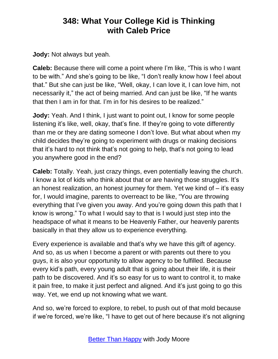**Jody:** Not always but yeah.

**Caleb:** Because there will come a point where I'm like, "This is who I want to be with." And she's going to be like, "I don't really know how I feel about that." But she can just be like, "Well, okay, I can love it, I can love him, not necessarily it," the act of being married. And can just be like, "If he wants that then I am in for that. I'm in for his desires to be realized."

**Jody:** Yeah. And I think, I just want to point out, I know for some people listening it's like, well, okay, that's fine. If they're going to vote differently than me or they are dating someone I don't love. But what about when my child decides they're going to experiment with drugs or making decisions that it's hard to not think that's not going to help, that's not going to lead you anywhere good in the end?

**Caleb:** Totally. Yeah, just crazy things, even potentially leaving the church. I know a lot of kids who think about that or are having those struggles. It's an honest realization, an honest journey for them. Yet we kind of – it's easy for, I would imagine, parents to overreact to be like, "You are throwing everything that I've given you away. And you're going down this path that I know is wrong." To what I would say to that is I would just step into the headspace of what it means to be Heavenly Father, our heavenly parents basically in that they allow us to experience everything.

Every experience is available and that's why we have this gift of agency. And so, as us when I become a parent or with parents out there to you guys, it is also your opportunity to allow agency to be fulfilled. Because every kid's path, every young adult that is going about their life, it is their path to be discovered. And it's so easy for us to want to control it, to make it pain free, to make it just perfect and aligned. And it's just going to go this way. Yet, we end up not knowing what we want.

And so, we're forced to explore, to rebel, to push out of that mold because if we're forced, we're like, "I have to get out of here because it's not aligning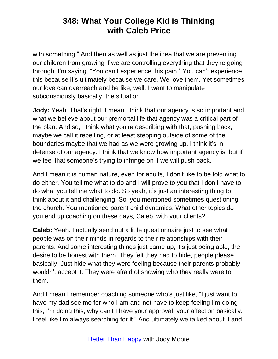with something." And then as well as just the idea that we are preventing our children from growing if we are controlling everything that they're going through. I'm saying, "You can't experience this pain." You can't experience this because it's ultimately because we care. We love them. Yet sometimes our love can overreach and be like, well, I want to manipulate subconsciously basically, the situation.

**Jody:** Yeah. That's right. I mean I think that our agency is so important and what we believe about our premortal life that agency was a critical part of the plan. And so, I think what you're describing with that, pushing back, maybe we call it rebelling, or at least stepping outside of some of the boundaries maybe that we had as we were growing up. I think it's in defense of our agency. I think that we know how important agency is, but if we feel that someone's trying to infringe on it we will push back.

And I mean it is human nature, even for adults, I don't like to be told what to do either. You tell me what to do and I will prove to you that I don't have to do what you tell me what to do. So yeah, it's just an interesting thing to think about it and challenging. So, you mentioned sometimes questioning the church. You mentioned parent child dynamics. What other topics do you end up coaching on these days, Caleb, with your clients?

**Caleb:** Yeah. I actually send out a little questionnaire just to see what people was on their minds in regards to their relationships with their parents. And some interesting things just came up, it's just being able, the desire to be honest with them. They felt they had to hide, people please basically. Just hide what they were feeling because their parents probably wouldn't accept it. They were afraid of showing who they really were to them.

And I mean I remember coaching someone who's just like, "I just want to have my dad see me for who I am and not have to keep feeling I'm doing this, I'm doing this, why can't I have your approval, your affection basically. I feel like I'm always searching for it." And ultimately we talked about it and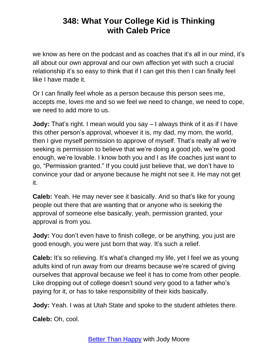we know as here on the podcast and as coaches that it's all in our mind, it's all about our own approval and our own affection yet with such a crucial relationship it's so easy to think that if I can get this then I can finally feel like I have made it.

Or I can finally feel whole as a person because this person sees me, accepts me, loves me and so we feel we need to change, we need to cope, we need to add more to us.

**Jody:** That's right. I mean would you say – I always think of it as if I have this other person's approval, whoever it is, my dad, my mom, the world, then I give myself permission to approve of myself. That's really all we're seeking is permission to believe that we're doing a good job, we're good enough, we're lovable. I know both you and I as life coaches just want to go, "Permission granted." If you could just believe that, we don't have to convince your dad or anyone because he might not see it. He may not get it.

**Caleb:** Yeah. He may never see it basically. And so that's like for young people out there that are wanting that or anyone who is seeking the approval of someone else basically, yeah, permission granted, your approval is from you.

**Jody:** You don't even have to finish college, or be anything, you just are good enough, you were just born that way. It's such a relief.

**Caleb:** It's so relieving. It's what's changed my life, yet I feel we as young adults kind of run away from our dreams because we're scared of giving ourselves that approval because we feel it has to come from other people. Like dropping out of college doesn't sound very good to a father who's paying for it, or has to take responsibility of their kids basically.

**Jody:** Yeah. I was at Utah State and spoke to the student athletes there.

**Caleb:** Oh, cool.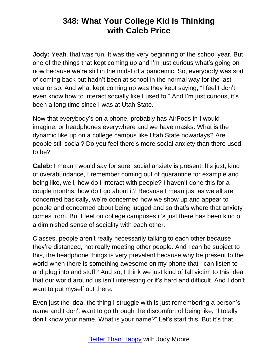**Jody:** Yeah, that was fun. It was the very beginning of the school year. But one of the things that kept coming up and I'm just curious what's going on now because we're still in the midst of a pandemic. So, everybody was sort of coming back but hadn't been at school in the normal way for the last year or so. And what kept coming up was they kept saying, "I feel I don't even know how to interact socially like I used to." And I'm just curious, it's been a long time since I was at Utah State.

Now that everybody's on a phone, probably has AirPods in I would imagine, or headphones everywhere and we have masks. What is the dynamic like up on a college campus like Utah State nowadays? Are people still social? Do you feel there's more social anxiety than there used to be?

**Caleb:** I mean I would say for sure, social anxiety is present. It's just, kind of overabundance, I remember coming out of quarantine for example and being like, well, how do I interact with people? I haven't done this for a couple months, how do I go about it? Because I mean just as we all are concerned basically, we're concerned how we show up and appear to people and concerned about being judged and so that's where that anxiety comes from. But I feel on college campuses it's just there has been kind of a diminished sense of sociality with each other.

Classes, people aren't really necessarily talking to each other because they're distanced, not really meeting other people. And I can be subject to this, the headphone things is very prevalent because why be present to the world when there is something awesome on my phone that I can listen to and plug into and stuff? And so, I think we just kind of fall victim to this idea that our world around us isn't interesting or it's hard and difficult. And I don't want to put myself out there.

Even just the idea, the thing I struggle with is just remembering a person's name and I don't want to go through the discomfort of being like, "I totally don't know your name. What is your name?" Let's start this. But it's that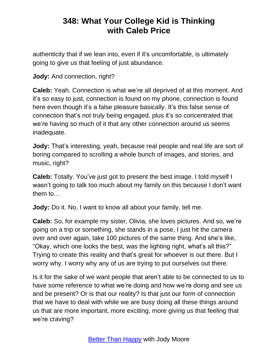authenticity that if we lean into, even if it's uncomfortable, is ultimately going to give us that feeling of just abundance.

**Jody:** And connection, right?

**Caleb:** Yeah. Connection is what we're all deprived of at this moment. And it's so easy to just, connection is found on my phone, connection is found here even though it's a false pleasure basically. It's this false sense of connection that's not truly being engaged, plus it's so concentrated that we're having so much of it that any other connection around us seems inadequate.

**Jody:** That's interesting, yeah, because real people and real life are sort of boring compared to scrolling a whole bunch of images, and stories, and music, right?

**Caleb:** Totally. You've just got to present the best image. I told myself I wasn't going to talk too much about my family on this because I don't want them to…

**Jody:** Do it. No, I want to know all about your family, tell me.

**Caleb:** So, for example my sister, Olivia, she loves pictures. And so, we're going on a trip or something, she stands in a pose, I just hit the camera over and over again, take 100 pictures of the same thing. And she's like, "Okay, which one looks the best, was the lighting right, what's all this?" Trying to create this reality and that's great for whoever is out there. But I worry why. I worry why any of us are trying to put ourselves out there.

Is it for the sake of we want people that aren't able to be connected to us to have some reference to what we're doing and how we're doing and see us and be present? Or is that our reality? Is that just our form of connection that we have to deal with while we are busy doing all these things around us that are more important, more exciting, more giving us that feeling that we're craving?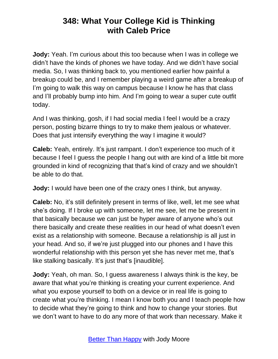**Jody:** Yeah. I'm curious about this too because when I was in college we didn't have the kinds of phones we have today. And we didn't have social media. So, I was thinking back to, you mentioned earlier how painful a breakup could be, and I remember playing a weird game after a breakup of I'm going to walk this way on campus because I know he has that class and I'll probably bump into him. And I'm going to wear a super cute outfit today.

And I was thinking, gosh, if I had social media I feel I would be a crazy person, posting bizarre things to try to make them jealous or whatever. Does that just intensify everything the way I imagine it would?

**Caleb:** Yeah, entirely. It's just rampant. I don't experience too much of it because I feel I guess the people I hang out with are kind of a little bit more grounded in kind of recognizing that that's kind of crazy and we shouldn't be able to do that.

**Jody:** I would have been one of the crazy ones I think, but anyway.

**Caleb:** No, it's still definitely present in terms of like, well, let me see what she's doing. If I broke up with someone, let me see, let me be present in that basically because we can just be hyper aware of anyone who's out there basically and create these realities in our head of what doesn't even exist as a relationship with someone. Because a relationship is all just in your head. And so, if we're just plugged into our phones and I have this wonderful relationship with this person yet she has never met me, that's like stalking basically. It's just that's [inaudible].

**Jody:** Yeah, oh man. So, I guess awareness I always think is the key, be aware that what you're thinking is creating your current experience. And what you expose yourself to both on a device or in real life is going to create what you're thinking. I mean I know both you and I teach people how to decide what they're going to think and how to change your stories. But we don't want to have to do any more of that work than necessary. Make it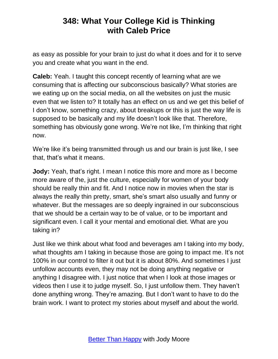as easy as possible for your brain to just do what it does and for it to serve you and create what you want in the end.

**Caleb:** Yeah. I taught this concept recently of learning what are we consuming that is affecting our subconscious basically? What stories are we eating up on the social media, on all the websites on just the music even that we listen to? It totally has an effect on us and we get this belief of I don't know, something crazy, about breakups or this is just the way life is supposed to be basically and my life doesn't look like that. Therefore, something has obviously gone wrong. We're not like, I'm thinking that right now.

We're like it's being transmitted through us and our brain is just like, I see that, that's what it means.

**Jody:** Yeah, that's right. I mean I notice this more and more as I become more aware of the, just the culture, especially for women of your body should be really thin and fit. And I notice now in movies when the star is always the really thin pretty, smart, she's smart also usually and funny or whatever. But the messages are so deeply ingrained in our subconscious that we should be a certain way to be of value, or to be important and significant even. I call it your mental and emotional diet. What are you taking in?

Just like we think about what food and beverages am I taking into my body, what thoughts am I taking in because those are going to impact me. It's not 100% in our control to filter it out but it is about 80%. And sometimes I just unfollow accounts even, they may not be doing anything negative or anything I disagree with. I just notice that when I look at those images or videos then I use it to judge myself. So, I just unfollow them. They haven't done anything wrong. They're amazing. But I don't want to have to do the brain work. I want to protect my stories about myself and about the world.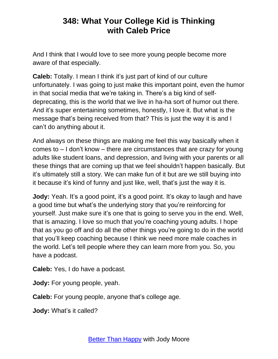And I think that I would love to see more young people become more aware of that especially.

**Caleb:** Totally. I mean I think it's just part of kind of our culture unfortunately. I was going to just make this important point, even the humor in that social media that we're taking in. There's a big kind of selfdeprecating, this is the world that we live in ha-ha sort of humor out there. And it's super entertaining sometimes, honestly, I love it. But what is the message that's being received from that? This is just the way it is and I can't do anything about it.

And always on these things are making me feel this way basically when it comes to – I don't know – there are circumstances that are crazy for young adults like student loans, and depression, and living with your parents or all these things that are coming up that we feel shouldn't happen basically. But it's ultimately still a story. We can make fun of it but are we still buying into it because it's kind of funny and just like, well, that's just the way it is.

**Jody:** Yeah. It's a good point, it's a good point. It's okay to laugh and have a good time but what's the underlying story that you're reinforcing for yourself. Just make sure it's one that is going to serve you in the end. Well, that is amazing. I love so much that you're coaching young adults. I hope that as you go off and do all the other things you're going to do in the world that you'll keep coaching because I think we need more male coaches in the world. Let's tell people where they can learn more from you. So, you have a podcast.

**Caleb:** Yes, I do have a podcast.

**Jody:** For young people, yeah.

**Caleb:** For young people, anyone that's college age.

**Jody:** What's it called?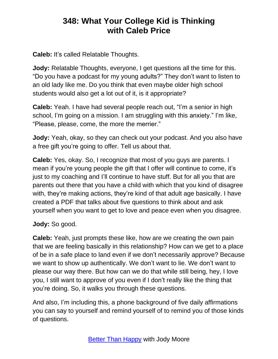**Caleb:** It's called Relatable Thoughts.

**Jody:** Relatable Thoughts, everyone, I get questions all the time for this. "Do you have a podcast for my young adults?" They don't want to listen to an old lady like me. Do you think that even maybe older high school students would also get a lot out of it, is it appropriate?

**Caleb:** Yeah. I have had several people reach out, "I'm a senior in high school, I'm going on a mission. I am struggling with this anxiety." I'm like, "Please, please, come, the more the merrier."

**Jody:** Yeah, okay, so they can check out your podcast. And you also have a free gift you're going to offer. Tell us about that.

**Caleb:** Yes, okay. So, I recognize that most of you guys are parents. I mean if you're young people the gift that I offer will continue to come, it's just to my coaching and I'll continue to have stuff. But for all you that are parents out there that you have a child with which that you kind of disagree with, they're making actions, they're kind of that adult age basically. I have created a PDF that talks about five questions to think about and ask yourself when you want to get to love and peace even when you disagree.

**Jody:** So good.

**Caleb:** Yeah, just prompts these like, how are we creating the own pain that we are feeling basically in this relationship? How can we get to a place of be in a safe place to land even if we don't necessarily approve? Because we want to show up authentically. We don't want to lie. We don't want to please our way there. But how can we do that while still being, hey, I love you, I still want to approve of you even if I don't really like the thing that you're doing. So, it walks you through these questions.

And also, I'm including this, a phone background of five daily affirmations you can say to yourself and remind yourself of to remind you of those kinds of questions.